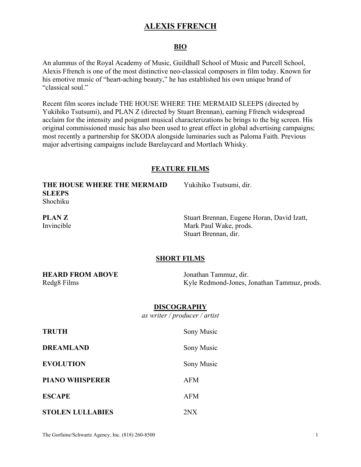## **ALEXIS FFRENCH**

### **BIO**

An alumnus of the Royal Academy of Music, Guildhall School of Music and Purcell School, Alexis Ffrench is one of the most distinctive neo-classical composers in film today. Known for his emotive music of "heart-aching beauty," he has established his own unique brand of "classical soul."

Recent film scores include THE HOUSE WHERE THE MERMAID SLEEPS (directed by Yukihiko Tsutsumi), and PLAN Z (directed by Stuart Brennan), earning Ffrench widespread acclaim for the intensity and poignant musical characterizations he brings to the big screen. His original commissioned music has also been used to great effect in global advertising campaigns; most recently a partnership for SKODA alongside luminaries such as Paloma Faith. Previous major advertising campaigns include Barelaycard and Mortlach Whisky.

#### **FEATURE FILMS**

| THE HOUSE WHERE THE MERMAID<br><b>SLEEPS</b><br>Shochiku | Yukihiko Tsutsumi, dir.                                                                      |  |
|----------------------------------------------------------|----------------------------------------------------------------------------------------------|--|
| <b>PLANZ</b><br>Invincible                               | Stuart Brennan, Eugene Horan, David Izatt,<br>Mark Paul Wake, prods.<br>Stuart Brennan, dir. |  |
| <b>SHORT FILMS</b>                                       |                                                                                              |  |
| <b>HEARD FROM ABOVE</b><br>Redg8 Films                   | Jonathan Tammuz, dir.<br>Kyle Redmond-Jones, Jonathan Tammuz, prods.                         |  |
| <b>DISCOGRAPHY</b><br>as writer / $product / artist$     |                                                                                              |  |
| <b>TRUTH</b>                                             | Sony Music                                                                                   |  |
| <b>DREAMLAND</b>                                         | Sony Music                                                                                   |  |
| <b>EVOLUTION</b>                                         | Sony Music                                                                                   |  |
| <b>PIANO WHISPERER</b>                                   | <b>AFM</b>                                                                                   |  |

**STOLEN LULLABIES** 2NX

**ESCAPE** AFM